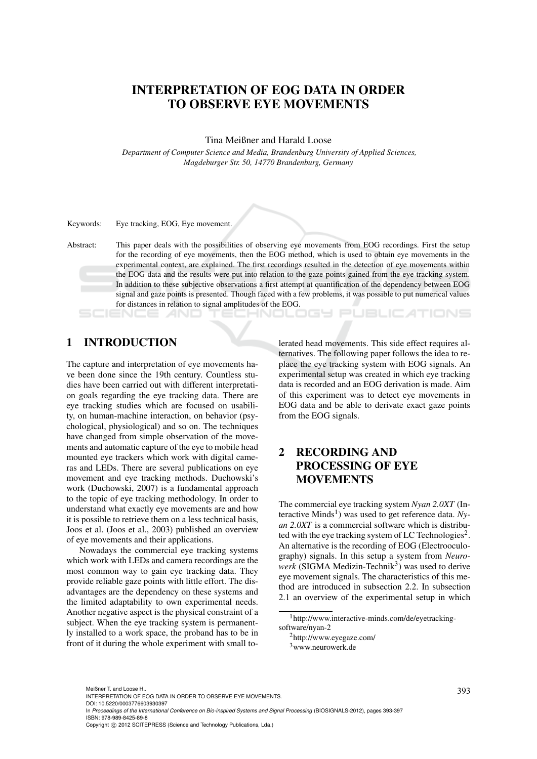# INTERPRETATION OF EOG DATA IN ORDER TO OBSERVE EYE MOVEMENTS

Tina Meißner and Harald Loose

*Department of Computer Science and Media, Brandenburg University of Applied Sciences, Magdeburger Str. 50, 14770 Brandenburg, Germany*

Keywords: Eye tracking, EOG, Eye movement.

Abstract: This paper deals with the possibilities of observing eye movements from EOG recordings. First the setup for the recording of eye movements, then the EOG method, which is used to obtain eye movements in the experimental context, are explained. The first recordings resulted in the detection of eye movements within the EOG data and the results were put into relation to the gaze points gained from the eye tracking system. In addition to these subjective observations a first attempt at quantification of the dependency between EOG signal and gaze points is presented. Though faced with a few problems, it was possible to put numerical values for distances in relation to signal amplitudes of the EOG.

# 1 INTRODUCTION

The capture and interpretation of eye movements have been done since the 19th century. Countless studies have been carried out with different interpretation goals regarding the eye tracking data. There are eye tracking studies which are focused on usability, on human-machine interaction, on behavior (psychological, physiological) and so on. The techniques have changed from simple observation of the movements and automatic capture of the eye to mobile head mounted eye trackers which work with digital cameras and LEDs. There are several publications on eye movement and eye tracking methods. Duchowski's work (Duchowski, 2007) is a fundamental approach to the topic of eye tracking methodology. In order to understand what exactly eye movements are and how it is possible to retrieve them on a less technical basis, Joos et al. (Joos et al., 2003) published an overview of eye movements and their applications.

Nowadays the commercial eye tracking systems which work with LEDs and camera recordings are the most common way to gain eye tracking data. They provide reliable gaze points with little effort. The disadvantages are the dependency on these systems and the limited adaptability to own experimental needs. Another negative aspect is the physical constraint of a subject. When the eye tracking system is permanently installed to a work space, the proband has to be in front of it during the whole experiment with small tolerated head movements. This side effect requires alternatives. The following paper follows the idea to replace the eye tracking system with EOG signals. An experimental setup was created in which eye tracking data is recorded and an EOG derivation is made. Aim of this experiment was to detect eye movements in EOG data and be able to derivate exact gaze points from the EOG signals.

# 2 RECORDING AND PROCESSING OF EYE MOVEMENTS

The commercial eye tracking system *Nyan 2.0XT* (Interactive Minds<sup>1</sup>) was used to get reference data. Ny*an 2.0XT* is a commercial software which is distributed with the eye tracking system of LC Technologies<sup>2</sup>. An alternative is the recording of EOG (Electrooculography) signals. In this setup a system from *Neuro* $werk$  (SIGMA Medizin-Technik<sup>3</sup>) was used to derive eye movement signals. The characteristics of this method are introduced in subsection 2.2. In subsection 2.1 an overview of the experimental setup in which

DOI: 10.5220/0003776603930397

In *Proceedings of the International Conference on Bio-inspired Systems and Signal Processing* (BIOSIGNALS-2012), pages 393-397 ISBN: 978-989-8425-89-8

<sup>1</sup>http://www.interactive-minds.com/de/eyetrackingsoftware/nyan-2

<sup>2</sup>http://www.eyegaze.com/ <sup>3</sup>www.neurowerk.de

<sup>393</sup> Meißner T. and Loose H.. INTERPRETATION OF EOG DATA IN ORDER TO OBSERVE EYE MOVEMENTS.

Copyright © 2012 SCITEPRESS (Science and Technology Publications, Lda.)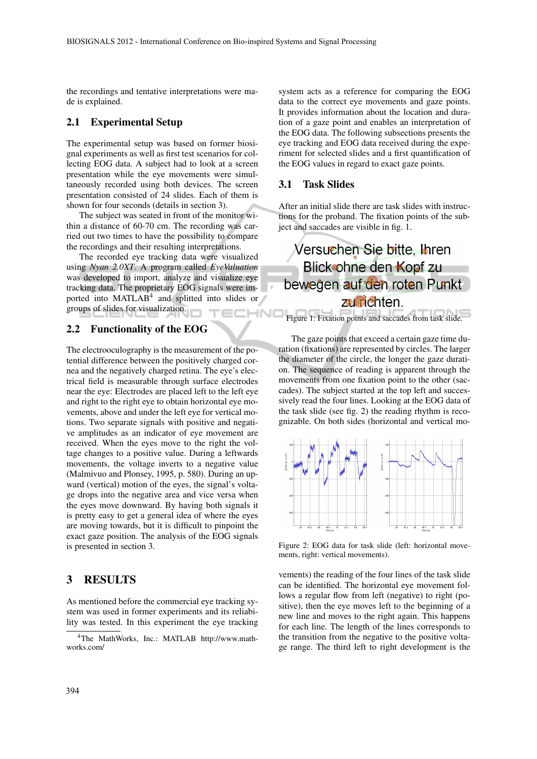the recordings and tentative interpretations were made is explained.

#### 2.1 Experimental Setup

The experimental setup was based on former biosignal experiments as well as first test scenarios for collecting EOG data. A subject had to look at a screen presentation while the eye movements were simultaneously recorded using both devices. The screen presentation consisted of 24 slides. Each of them is shown for four seconds (details in section 3).

The subject was seated in front of the monitor within a distance of 60-70 cm. The recording was carried out two times to have the possibility to compare the recordings and their resulting interpretations.

The recorded eye tracking data were visualized using *Nyan 2.0XT*. A program called *EyeValuation* was developed to import, analyze and visualize eye tracking data. The proprietary EOG signals were imported into MATLAB<sup>4</sup> and splitted into slides or groups of slides for visualization.

#### 2.2 Functionality of the EOG

The electrooculography is the measurement of the potential difference between the positively charged cornea and the negatively charged retina. The eye's electrical field is measurable through surface electrodes near the eye: Electrodes are placed left to the left eye and right to the right eye to obtain horizontal eye movements, above and under the left eye for vertical motions. Two separate signals with positive and negative amplitudes as an indicator of eye movement are received. When the eyes move to the right the voltage changes to a positive value. During a leftwards movements, the voltage inverts to a negative value (Malmivuo and Plonsey, 1995, p. 580). During an upward (vertical) motion of the eyes, the signal's voltage drops into the negative area and vice versa when the eyes move downward. By having both signals it is pretty easy to get a general idea of where the eyes are moving towards, but it is difficult to pinpoint the exact gaze position. The analysis of the EOG signals is presented in section 3.

#### 3 RESULTS

As mentioned before the commercial eye tracking system was used in former experiments and its reliability was tested. In this experiment the eye tracking

<sup>4</sup>The MathWorks, Inc.: MATLAB http://www.mathworks.com/

system acts as a reference for comparing the EOG data to the correct eye movements and gaze points. It provides information about the location and duration of a gaze point and enables an interpretation of the EOG data. The following subsections presents the eye tracking and EOG data received during the experiment for selected slides and a first quantification of the EOG values in regard to exact gaze points.

#### 3.1 Task Slides

After an initial slide there are task slides with instructions for the proband. The fixation points of the subject and saccades are visible in fig. 1.



The gaze points that exceed a certain gaze time duration (fixations) are represented by circles. The larger the diameter of the circle, the longer the gaze duration. The sequence of reading is apparent through the movements from one fixation point to the other (saccades). The subject started at the top left and successively read the four lines. Looking at the EOG data of the task slide (see fig. 2) the reading rhythm is recognizable. On both sides (horizontal and vertical mo-



Figure 2: EOG data for task slide (left: horizontal movements, right: vertical movements).

vements) the reading of the four lines of the task slide can be identified. The horizontal eye movement follows a regular flow from left (negative) to right (positive), then the eye moves left to the beginning of a new line and moves to the right again. This happens for each line. The length of the lines corresponds to the transition from the negative to the positive voltage range. The third left to right development is the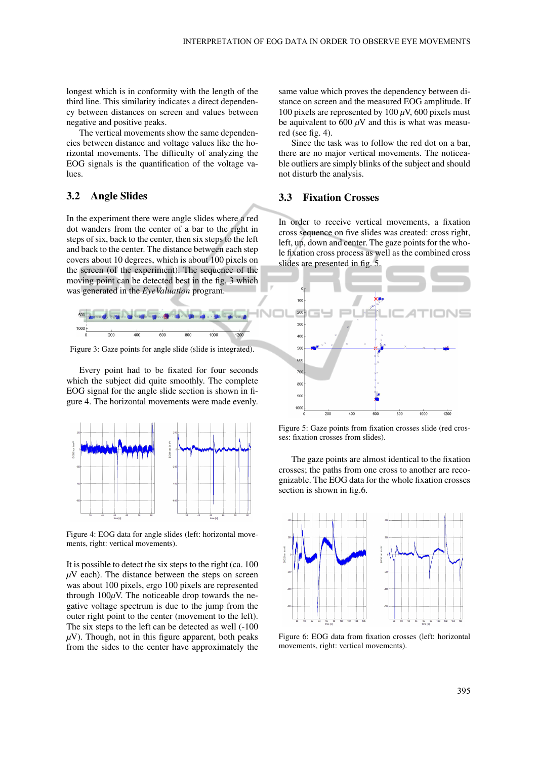longest which is in conformity with the length of the third line. This similarity indicates a direct dependency between distances on screen and values between negative and positive peaks.

The vertical movements show the same dependencies between distance and voltage values like the horizontal movements. The difficulty of analyzing the EOG signals is the quantification of the voltage values.

### 3.2 Angle Slides

In the experiment there were angle slides where a red dot wanders from the center of a bar to the right in steps of six, back to the center, then six steps to the left and back to the center. The distance between each step covers about 10 degrees, which is about 100 pixels on the screen (of the experiment). The sequence of the moving point can be detected best in the fig. 3 which was generated in the *EyeValuation* program.



Figure 3: Gaze points for angle slide (slide is integrated).

Every point had to be fixated for four seconds which the subject did quite smoothly. The complete EOG signal for the angle slide section is shown in figure 4. The horizontal movements were made evenly.



Figure 4: EOG data for angle slides (left: horizontal movements, right: vertical movements).

It is possible to detect the six steps to the right (ca. 100  $\mu$ V each). The distance between the steps on screen was about 100 pixels, ergo 100 pixels are represented through  $100\mu$ V. The noticeable drop towards the negative voltage spectrum is due to the jump from the outer right point to the center (movement to the left). The six steps to the left can be detected as well (-100  $\mu$ V). Though, not in this figure apparent, both peaks from the sides to the center have approximately the

same value which proves the dependency between distance on screen and the measured EOG amplitude. If 100 pixels are represented by 100 *µ*V, 600 pixels must be aquivalent to 600  $\mu$ V and this is what was measured (see fig. 4).

Since the task was to follow the red dot on a bar, there are no major vertical movements. The noticeable outliers are simply blinks of the subject and should not disturb the analysis.

#### 3.3 Fixation Crosses

In order to receive vertical movements, a fixation cross sequence on five slides was created: cross right, left, up, down and center. The gaze points for the whole fixation cross process as well as the combined cross slides are presented in fig. 5.



Figure 5: Gaze points from fixation crosses slide (red crosses: fixation crosses from slides).

The gaze points are almost identical to the fixation crosses; the paths from one cross to another are recognizable. The EOG data for the whole fixation crosses section is shown in fig.6.



Figure 6: EOG data from fixation crosses (left: horizontal movements, right: vertical movements).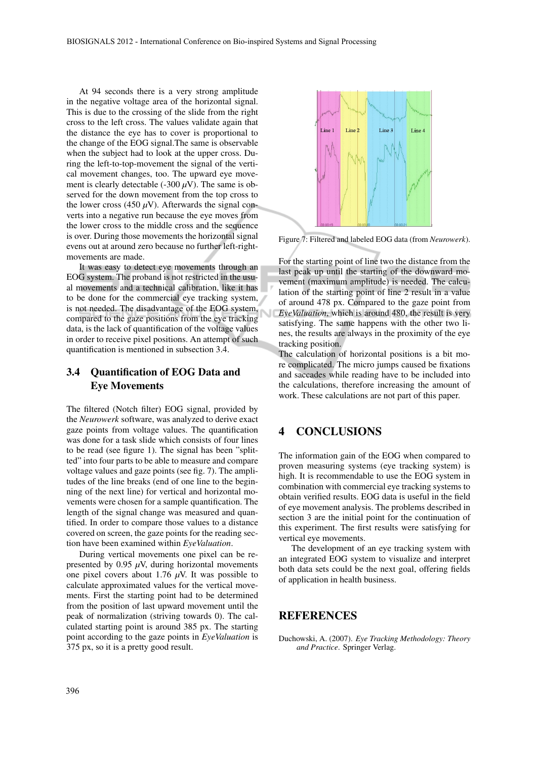At 94 seconds there is a very strong amplitude in the negative voltage area of the horizontal signal. This is due to the crossing of the slide from the right cross to the left cross. The values validate again that the distance the eye has to cover is proportional to the change of the EOG signal.The same is observable when the subject had to look at the upper cross. During the left-to-top-movement the signal of the vertical movement changes, too. The upward eye movement is clearly detectable  $(-300 \mu V)$ . The same is observed for the down movement from the top cross to the lower cross (450  $\mu$ V). Afterwards the signal converts into a negative run because the eye moves from the lower cross to the middle cross and the sequence is over. During those movements the horizontal signal evens out at around zero because no further left-rightmovements are made.

It was easy to detect eye movements through an EOG system. The proband is not restricted in the usual movements and a technical calibration, like it has to be done for the commercial eye tracking system, is not needed. The disadvantage of the EOG system, compared to the gaze positions from the eye tracking data, is the lack of quantification of the voltage values in order to receive pixel positions. An attempt of such quantification is mentioned in subsection 3.4.

# 3.4 Quantification of EOG Data and Eye Movements

The filtered (Notch filter) EOG signal, provided by the *Neurowerk* software, was analyzed to derive exact gaze points from voltage values. The quantification was done for a task slide which consists of four lines to be read (see figure 1). The signal has been "splitted" into four parts to be able to measure and compare voltage values and gaze points (see fig. 7). The amplitudes of the line breaks (end of one line to the beginning of the next line) for vertical and horizontal movements were chosen for a sample quantification. The length of the signal change was measured and quantified. In order to compare those values to a distance covered on screen, the gaze points for the reading section have been examined within *EyeValuation*.

During vertical movements one pixel can be represented by 0.95  $\mu$ V, during horizontal movements one pixel covers about 1.76  $\mu$ V. It was possible to calculate approximated values for the vertical movements. First the starting point had to be determined from the position of last upward movement until the peak of normalization (striving towards 0). The calculated starting point is around 385 px. The starting point according to the gaze points in *EyeValuation* is 375 px, so it is a pretty good result.



Figure 7: Filtered and labeled EOG data (from *Neurowerk*).

For the starting point of line two the distance from the last peak up until the starting of the downward movement (maximum amplitude) is needed. The calculation of the starting point of line 2 result in a value of around 478 px. Compared to the gaze point from *EyeValuation*, which is around 480, the result is very satisfying. The same happens with the other two lines, the results are always in the proximity of the eye tracking position.

The calculation of horizontal positions is a bit more complicated. The micro jumps caused be fixations and saccades while reading have to be included into the calculations, therefore increasing the amount of work. These calculations are not part of this paper.

# 4 CONCLUSIONS

The information gain of the EOG when compared to proven measuring systems (eye tracking system) is high. It is recommendable to use the EOG system in combination with commercial eye tracking systems to obtain verified results. EOG data is useful in the field of eye movement analysis. The problems described in section 3 are the initial point for the continuation of this experiment. The first results were satisfying for vertical eye movements.

The development of an eye tracking system with an integrated EOG system to visualize and interpret both data sets could be the next goal, offering fields of application in health business.

#### **REFERENCES**

Duchowski, A. (2007). *Eye Tracking Methodology: Theory and Practice*. Springer Verlag.